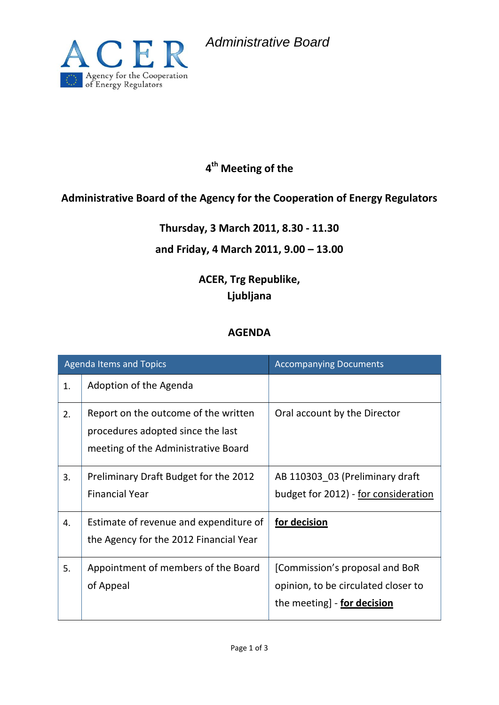*Administrative Board*



## **4 th Meeting of the**

### **Administrative Board of the Agency for the Cooperation of Energy Regulators**

#### **Thursday, 3 March 2011, 8.30 - 11.30**

#### **and Friday, 4 March 2011, 9.00 – 13.00**

## **ACER, Trg Republike, Ljubljana**

#### **AGENDA**

| <b>Agenda Items and Topics</b> |                                                                                                                  | <b>Accompanying Documents</b>                                                                        |
|--------------------------------|------------------------------------------------------------------------------------------------------------------|------------------------------------------------------------------------------------------------------|
| 1.                             | Adoption of the Agenda                                                                                           |                                                                                                      |
| 2.                             | Report on the outcome of the written<br>procedures adopted since the last<br>meeting of the Administrative Board | Oral account by the Director                                                                         |
| 3.                             | Preliminary Draft Budget for the 2012<br><b>Financial Year</b>                                                   | AB 110303 03 (Preliminary draft<br>budget for 2012) - for consideration                              |
| 4.                             | Estimate of revenue and expenditure of<br>the Agency for the 2012 Financial Year                                 | for decision                                                                                         |
| 5.                             | Appointment of members of the Board<br>of Appeal                                                                 | [Commission's proposal and BoR<br>opinion, to be circulated closer to<br>the meeting] - for decision |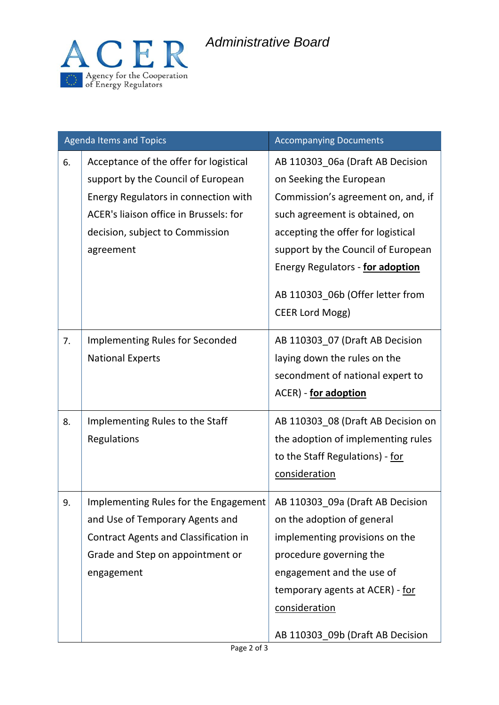# *Administrative Board*



| <b>Agenda Items and Topics</b> |                                                                                                                                                                                                                | <b>Accompanying Documents</b>                                                                                                                                                                                                                                                                                     |
|--------------------------------|----------------------------------------------------------------------------------------------------------------------------------------------------------------------------------------------------------------|-------------------------------------------------------------------------------------------------------------------------------------------------------------------------------------------------------------------------------------------------------------------------------------------------------------------|
| 6.                             | Acceptance of the offer for logistical<br>support by the Council of European<br>Energy Regulators in connection with<br>ACER's liaison office in Brussels: for<br>decision, subject to Commission<br>agreement | AB 110303_06a (Draft AB Decision<br>on Seeking the European<br>Commission's agreement on, and, if<br>such agreement is obtained, on<br>accepting the offer for logistical<br>support by the Council of European<br>Energy Regulators - for adoption<br>AB 110303_06b (Offer letter from<br><b>CEER Lord Mogg)</b> |
| 7.                             | <b>Implementing Rules for Seconded</b><br><b>National Experts</b>                                                                                                                                              | AB 110303_07 (Draft AB Decision<br>laying down the rules on the<br>secondment of national expert to<br>ACER) - for adoption                                                                                                                                                                                       |
| 8.                             | Implementing Rules to the Staff<br>Regulations                                                                                                                                                                 | AB 110303_08 (Draft AB Decision on<br>the adoption of implementing rules<br>to the Staff Regulations) - for<br>consideration                                                                                                                                                                                      |
| 9.                             | Implementing Rules for the Engagement<br>and Use of Temporary Agents and<br><b>Contract Agents and Classification in</b><br>Grade and Step on appointment or<br>engagement                                     | AB 110303 09a (Draft AB Decision<br>on the adoption of general<br>implementing provisions on the<br>procedure governing the<br>engagement and the use of<br>temporary agents at ACER) - for<br>consideration<br>AB 110303_09b (Draft AB Decision                                                                  |